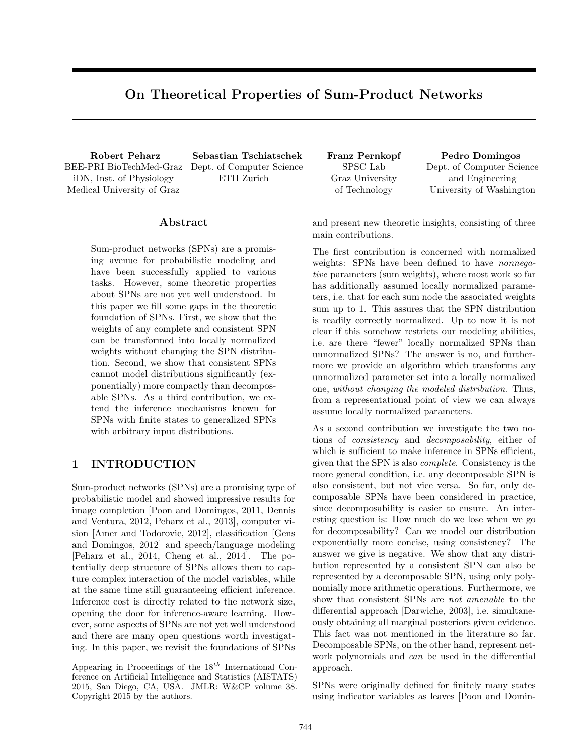# On Theoretical Properties of Sum-Product Networks

BEE-PRI BioTechMed-Graz iDN, Inst. of Physiology Medical University of Graz

Robert Peharz Sebastian Tschiatschek Franz Pernkopf Pedro Domingos Dept. of Computer Science ETH Zurich

## Abstract

Sum-product networks (SPNs) are a promising avenue for probabilistic modeling and have been successfully applied to various tasks. However, some theoretic properties about SPNs are not yet well understood. In this paper we fill some gaps in the theoretic foundation of SPNs. First, we show that the weights of any complete and consistent SPN can be transformed into locally normalized weights without changing the SPN distribution. Second, we show that consistent SPNs cannot model distributions significantly (exponentially) more compactly than decomposable SPNs. As a third contribution, we extend the inference mechanisms known for SPNs with finite states to generalized SPNs with arbitrary input distributions.

# 1 INTRODUCTION

Sum-product networks (SPNs) are a promising type of probabilistic model and showed impressive results for image completion [Poon and Domingos, 2011, Dennis and Ventura, 2012, Peharz et al., 2013], computer vision [Amer and Todorovic, 2012], classification [Gens and Domingos, 2012] and speech/language modeling [Peharz et al., 2014, Cheng et al., 2014]. The potentially deep structure of SPNs allows them to capture complex interaction of the model variables, while at the same time still guaranteeing efficient inference. Inference cost is directly related to the network size, opening the door for inference-aware learning. However, some aspects of SPNs are not yet well understood and there are many open questions worth investigating. In this paper, we revisit the foundations of SPNs

SPSC Lab Graz University of Technology

Dept. of Computer Science and Engineering University of Washington

and present new theoretic insights, consisting of three main contributions.

The first contribution is concerned with normalized weights: SPNs have been defined to have nonnegative parameters (sum weights), where most work so far has additionally assumed locally normalized parameters, i.e. that for each sum node the associated weights sum up to 1. This assures that the SPN distribution is readily correctly normalized. Up to now it is not clear if this somehow restricts our modeling abilities, i.e. are there "fewer" locally normalized SPNs than unnormalized SPNs? The answer is no, and furthermore we provide an algorithm which transforms any unnormalized parameter set into a locally normalized one, without changing the modeled distribution. Thus, from a representational point of view we can always assume locally normalized parameters.

As a second contribution we investigate the two notions of consistency and decomposability, either of which is sufficient to make inference in SPNs efficient, given that the SPN is also complete. Consistency is the more general condition, i.e. any decomposable SPN is also consistent, but not vice versa. So far, only decomposable SPNs have been considered in practice, since decomposability is easier to ensure. An interesting question is: How much do we lose when we go for decomposability? Can we model our distribution exponentially more concise, using consistency? The answer we give is negative. We show that any distribution represented by a consistent SPN can also be represented by a decomposable SPN, using only polynomially more arithmetic operations. Furthermore, we show that consistent SPNs are not amenable to the differential approach [Darwiche, 2003], i.e. simultaneously obtaining all marginal posteriors given evidence. This fact was not mentioned in the literature so far. Decomposable SPNs, on the other hand, represent network polynomials and *can* be used in the differential approach.

SPNs were originally defined for finitely many states using indicator variables as leaves [Poon and Domin-

Appearing in Proceedings of the  $18^{th}$  International Conference on Artificial Intelligence and Statistics (AISTATS) 2015, San Diego, CA, USA. JMLR: W&CP volume 38. Copyright 2015 by the authors.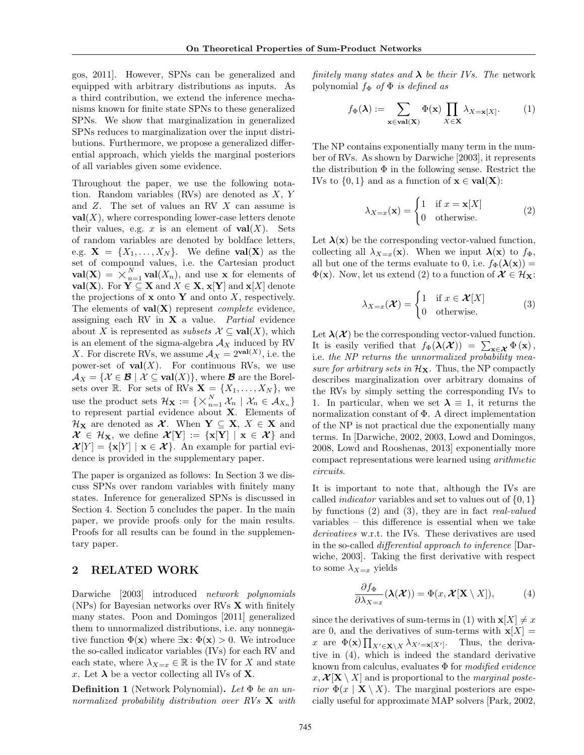gos, 2011]. However, SPNs can be generalized and equipped with arbitrary distributions as inputs. As a third contribution, we extend the inference mechanisms known for finite state SPNs to these generalized SPNs. We show that marginalization in generalized SPNs reduces to marginalization over the input distributions. Furthermore, we propose a generalized differential approach, which yields the marginal posteriors of all variables given some evidence.

Throughout the paper, we use the following notation. Random variables (RVs) are denoted as X, Y and Z. The set of values an RV X can assume is  $val(X)$ , where corresponding lower-case letters denote their values, e.g. x is an element of  $val(X)$ . Sets of random variables are denoted by boldface letters, e.g.  $\mathbf{X} = \{X_1, \ldots, X_N\}$ . We define **val** $(\mathbf{X})$  as the set of compound values, i.e. the Cartesian product set of compound values, i.e. the Cartesian product<br> **val**(**X**) =  $\times_{n=1}^{N}$ **val**(*X<sub>n</sub>*), and use **x** for elements of val(X). For  $Y \subseteq X$  and  $X \in X$ ,  $x[Y]$  and  $x[X]$  denote the projections of  $x$  onto  $Y$  and onto  $X$ , respectively. The elements of  $val(X)$  represent *complete* evidence, assigning each RV in  $X$  a value. Partial evidence about X is represented as *subsets*  $\mathcal{X} \subseteq \text{val}(X)$ , which is an element of the sigma-algebra  $A_X$  induced by RV X. For discrete RVs, we assume  $A_X = 2^{\text{val}(X)}$ , i.e. the power-set of  $val(X)$ . For continuous RVs, we use  $\mathcal{A}_X = \{ \mathcal{X} \in \mathcal{B} \mid \mathcal{X} \subseteq \text{val}(X) \}, \text{ where } \mathcal{B} \text{ are the Borel-}$ sets over R. For sets of RVs  $\mathbf{X} = \{X_1, \ldots, X_N\}$ , we sets over  $\mathbb{R}$ . For sets of Rys  $\mathbf{A} =$ <br>use the product sets  $\mathcal{H}_{\mathbf{X}} := \{ \times_{n=1}^{N} \}$  $\sum_{n=1}^N \mathcal{X}_n \mid \mathcal{X}_n \in \mathcal{A}_{X_n}$ to represent partial evidence about X. Elements of  $\mathcal{H}_{\mathbf{X}}$  are denoted as  $\mathcal{X}$ . When  $\mathbf{Y} \subseteq \mathbf{X}, X \in \mathbf{X}$  and  $\mathcal{X} \in \mathcal{H}_{\mathbf{X}}$ , we define  $\mathcal{X}[\mathbf{Y}] := {\mathbf{x}[\mathbf{Y}] | \mathbf{x} \in \mathcal{X}}$  and  $\mathcal{X}[Y] = {\mathbf{x}[Y] \mid \mathbf{x} \in \mathcal{X}}$ . An example for partial evidence is provided in the supplementary paper.

The paper is organized as follows: In Section 3 we discuss SPNs over random variables with finitely many states. Inference for generalized SPNs is discussed in Section 4. Section 5 concludes the paper. In the main paper, we provide proofs only for the main results. Proofs for all results can be found in the supplementary paper.

### 2 RELATED WORK

Darwiche [2003] introduced network polynomials (NPs) for Bayesian networks over RVs X with finitely many states. Poon and Domingos [2011] generalized them to unnormalized distributions, i.e. any nonnegative function  $\Phi(\mathbf{x})$  where  $\exists \mathbf{x}: \Phi(\mathbf{x}) > 0$ . We introduce the so-called indicator variables (IVs) for each RV and each state, where  $\lambda_{X=x} \in \mathbb{R}$  is the IV for X and state x. Let  $\lambda$  be a vector collecting all IVs of **X**.

**Definition 1** (Network Polynomial). Let  $\Phi$  be an unnormalized probability distribution over RVs  $X$  with finitely many states and  $\lambda$  be their IVs. The network polynomial  $f_{\Phi}$  of  $\Phi$  is defined as

$$
f_{\Phi}(\lambda) := \sum_{\mathbf{x} \in \mathbf{val}(\mathbf{X})} \Phi(\mathbf{x}) \prod_{X \in \mathbf{X}} \lambda_{X = \mathbf{x}[X]}.
$$
 (1)

The NP contains exponentially many term in the number of RVs. As shown by Darwiche [2003], it represents the distribution  $\Phi$  in the following sense. Restrict the IVs to  $\{0,1\}$  and as a function of  $\mathbf{x} \in \text{val}(\mathbf{X})$ :

$$
\lambda_{X=x}(\mathbf{x}) = \begin{cases} 1 & \text{if } x = \mathbf{x}[X] \\ 0 & \text{otherwise.} \end{cases}
$$
 (2)

Let  $\lambda(x)$  be the corresponding vector-valued function, collecting all  $\lambda_{X=x}(\mathbf{x})$ . When we input  $\lambda(\mathbf{x})$  to  $f_{\Phi}$ , all but one of the terms evaluate to 0, i.e.  $f_{\Phi}(\lambda(\mathbf{x})) =$  $\Phi(\mathbf{x})$ . Now, let us extend (2) to a function of  $\mathcal{X} \in \mathcal{H}_{\mathbf{X}}$ :

$$
\lambda_{X=x}(\mathcal{X}) = \begin{cases} 1 & \text{if } x \in \mathcal{X}[X] \\ 0 & \text{otherwise.} \end{cases}
$$
 (3)

Let  $\lambda(\mathcal{X})$  be the corresponding vector-valued function. It is easily verified that  $f_{\Phi}(\lambda(\mathcal{X})) = \sum_{\mathbf{x} \in \mathcal{X}} \Phi(\mathbf{x}),$ i.e. the NP returns the unnormalized probability measure for arbitrary sets in  $\mathcal{H}_{\mathbf{X}}$ . Thus, the NP compactly describes marginalization over arbitrary domains of the RVs by simply setting the corresponding IVs to 1. In particular, when we set  $\lambda \equiv 1$ , it returns the normalization constant of Φ. A direct implementation of the NP is not practical due the exponentially many terms. In [Darwiche, 2002, 2003, Lowd and Domingos, 2008, Lowd and Rooshenas, 2013] exponentially more compact representations were learned using arithmetic circuits.

It is important to note that, although the IVs are called *indicator* variables and set to values out of  $\{0, 1\}$ by functions (2) and (3), they are in fact real-valued variables – this difference is essential when we take derivatives w.r.t. the IVs. These derivatives are used in the so-called differential approach to inference [Darwiche, 2003]. Taking the first derivative with respect to some  $\lambda_{X=x}$  yields

$$
\frac{\partial f_{\Phi}}{\partial \lambda_{X=x}}(\lambda(\mathcal{X})) = \Phi(x, \mathcal{X}[\mathbf{X} \setminus X]), \tag{4}
$$

since the derivatives of sum-terms in (1) with  $\mathbf{x}[X] \neq x$ are 0, and the derivatives of sum-terms with  $\mathbf{x}[X] =$ x are  $\Phi(\mathbf{x}) \prod_{X' \in \mathbf{X} \setminus X} \lambda_{X'=\mathbf{x}[X']}$ . Thus, the derivative in (4), which is indeed the standard derivative known from calculus, evaluates  $\Phi$  for modified evidence  $x, \mathcal{X}[\mathbf{X} \setminus X]$  and is proportional to the *marginal poste*rior  $\Phi(x \mid \mathbf{X} \setminus X)$ . The marginal posteriors are especially useful for approximate MAP solvers [Park, 2002,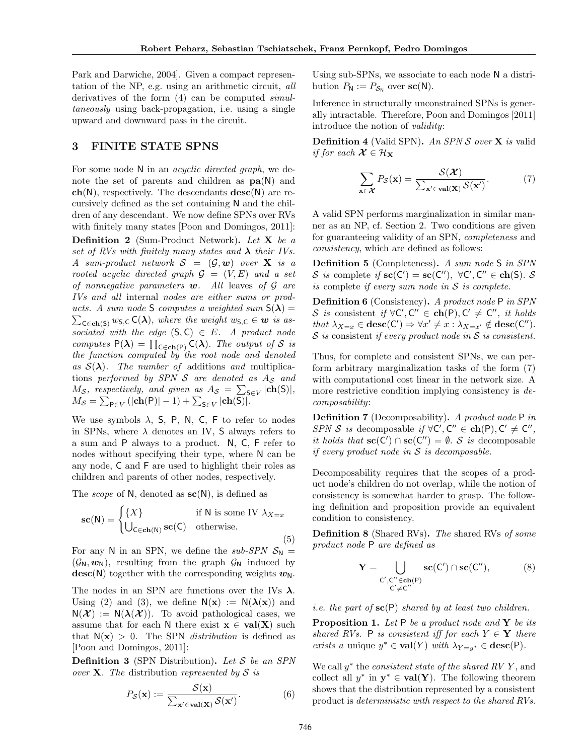Park and Darwiche, 2004]. Given a compact representation of the NP, e.g. using an arithmetic circuit, all derivatives of the form (4) can be computed simultaneously using back-propagation, i.e. using a single upward and downward pass in the circuit.

# 3 FINITE STATE SPNS

For some node N in an *acyclic directed graph*, we denote the set of parents and children as  $pa(N)$  and  $ch(N)$ , respectively. The descendants  $desc(N)$  are recursively defined as the set containing N and the children of any descendant. We now define SPNs over RVs with finitely many states [Poon and Domingos, 2011]: Definition 2 (Sum-Product Network). Let X be a set of RVs with finitely many states and  $\lambda$  their IVs. A sum-product network  $S = (\mathcal{G}, \mathbf{w})$  over **X** is a rooted acyclic directed graph  $\mathcal{G} = (V, E)$  and a set of nonnegative parameters  $w$ . All leaves of  $\mathcal G$  are IVs and all internal nodes are either sums or products. A sum node S computes a weighted sum  $S(\lambda) =$  $\sum_{\mathsf{C} \in \mathbf{ch}(\mathsf{S})} w_{\mathsf{S},\mathsf{C}} \mathsf{C}(\boldsymbol{\lambda}), \text{ where the weight } w_{\mathsf{S},\mathsf{C}} \in \mathbf{w} \text{ is a} s$ sociated with the edge  $(S, C) \in E$ . A product node computes  $P(\lambda) = \prod_{C \in ch(P)} C(\lambda)$ . The output of S is the function computed by the root node and denoted as  $S(\lambda)$ . The number of additions and multiplications performed by SPN  $S$  are denoted as  $A_S$  and  $M_{\mathcal{S}}$ , respectively, and given as  $A_{\mathcal{S}} = \sum_{\mathsf{S} \in V} |\mathbf{ch}(\mathsf{S})|$ ,  $M_{\mathcal{S}} = \sum_{\mathsf{P} \in V} (|\mathbf{ch}(\mathsf{P})| - 1) + \sum_{\mathsf{S} \in V} |\mathbf{ch}(\mathsf{S})|.$ 

We use symbols  $\lambda$ , S, P, N, C, F to refer to nodes in SPNs, where  $\lambda$  denotes an IV, S always refers to a sum and P always to a product. N, C, F refer to nodes without specifying their type, where N can be any node, C and F are used to highlight their roles as children and parents of other nodes, respectively.

The *scope* of N, denoted as  $\mathbf{sc}(N)$ , is defined as

$$
\mathbf{sc}(\mathsf{N}) = \begin{cases} \{X\} & \text{if } \mathsf{N} \text{ is some IV } \lambda_{X=x} \\ \bigcup_{\mathsf{C} \in \mathbf{ch}(\mathsf{N})} \mathbf{sc}(\mathsf{C}) & \text{otherwise.} \end{cases}
$$
(5)

For any N in an SPN, we define the sub-SPN  $S_N =$  $(\mathcal{G}_{N}, w_{N})$ , resulting from the graph  $\mathcal{G}_{N}$  induced by  $\text{desc}(N)$  together with the corresponding weights  $w_N$ .

The nodes in an SPN are functions over the IVs  $\lambda$ . Using (2) and (3), we define  $N(x) := N(\lambda(x))$  and  $N(\mathcal{X}) := N(\lambda(\mathcal{X}))$ . To avoid pathological cases, we assume that for each N there exist  $x \in val(X)$  such that  $N(x) > 0$ . The SPN *distribution* is defined as [Poon and Domingos, 2011]:

**Definition 3** (SPN Distribution). Let  $S$  be an SPN over **X**. The distribution represented by S is

$$
P_{\mathcal{S}}(\mathbf{x}) := \frac{\mathcal{S}(\mathbf{x})}{\sum_{\mathbf{x}' \in \text{val}(\mathbf{X})} \mathcal{S}(\mathbf{x}')}.
$$
(6)

Using sub-SPNs, we associate to each node N a distribution  $P_{\mathsf{N}} := P_{\mathcal{S}_{\mathsf{N}}}$  over  $\mathbf{sc}(\mathsf{N})$ .

Inference in structurally unconstrained SPNs is generally intractable. Therefore, Poon and Domingos [2011] introduce the notion of validity:

**Definition 4** (Valid SPN). An SPN  $S$  over  $X$  is valid if for each  $\mathcal{X} \in \mathcal{H}_{\mathbf{X}}$ 

$$
\sum_{\mathbf{x}\in\mathcal{X}} P_{\mathcal{S}}(\mathbf{x}) = \frac{\mathcal{S}(\mathcal{X})}{\sum_{\mathbf{x}'\in\mathbf{val}(\mathbf{X})} \mathcal{S}(\mathbf{x}')}.
$$
(7)

A valid SPN performs marginalization in similar manner as an NP, cf. Section 2. Two conditions are given for guaranteeing validity of an SPN, completeness and consistency, which are defined as follows:

Definition 5 (Completeness). A sum node S in SPN S is complete if  $\mathbf{sc}(C') = \mathbf{sc}(C'')$ ,  $\forall C', C'' \in \mathbf{ch}(S)$ . S is complete if every sum node in  $S$  is complete.

Definition 6 (Consistency). A product node P in SPN S is consistent if  $\forall C', C'' \in \mathbf{ch}(P), C' \neq C'',$  it holds that  $\lambda_{X=x} \in \mathbf{desc}(C') \Rightarrow \forall x' \neq x : \lambda_{X=x'} \notin \mathbf{desc}(C'')$ .  $S$  is consistent if every product node in  $S$  is consistent.

Thus, for complete and consistent SPNs, we can perform arbitrary marginalization tasks of the form (7) with computational cost linear in the network size. A more restrictive condition implying consistency is decomposability:

**Definition 7** (Decomposability). A product node P in SPN S is decomposable if  $\forall C', C'' \in ch(P), C' \neq C''$ , it holds that  $\operatorname{sc}(C') \cap \operatorname{sc}(C'') = \emptyset$ . S is decomposable if every product node in  $S$  is decomposable.

Decomposability requires that the scopes of a product node's children do not overlap, while the notion of consistency is somewhat harder to grasp. The following definition and proposition provide an equivalent condition to consistency.

Definition 8 (Shared RVs). The shared RVs of some product node P are defined as

$$
\mathbf{Y} = \bigcup_{\substack{C', C'' \in \mathbf{ch}(P) \\ C' \neq C''}} \mathbf{sc}(C') \cap \mathbf{sc}(C''), \tag{8}
$$

*i.e.* the part of  $\mathbf{sc}(P)$  shared by at least two children.

**Proposition 1.** Let  $P$  be a product node and  $Y$  be its shared RVs. P is consistent iff for each  $Y \in \mathbf{Y}$  there exists a unique  $y^* \in \text{val}(Y)$  with  $\lambda_{Y=y^*} \in \text{desc}(\mathsf{P})$ .

We call  $y^*$  the *consistent state of the shared RV Y*, and collect all  $y^*$  in  $y^* \in val(Y)$ . The following theorem shows that the distribution represented by a consistent product is deterministic with respect to the shared RVs.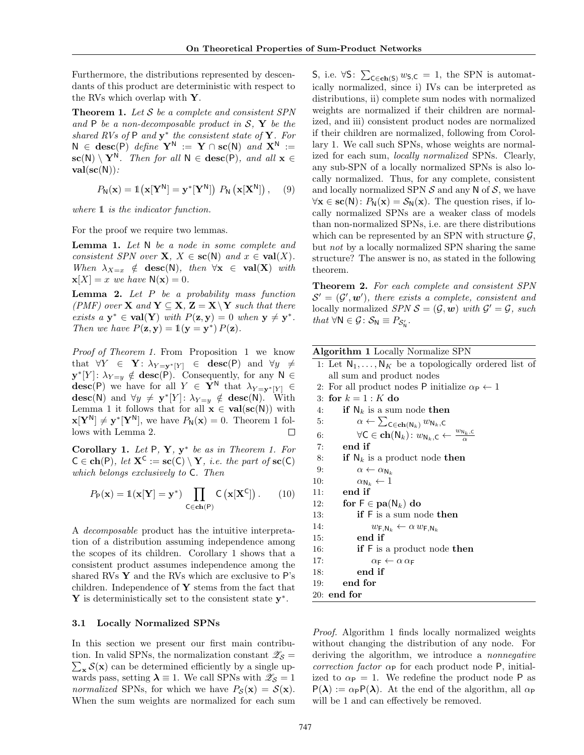Furthermore, the distributions represented by descendants of this product are deterministic with respect to the RVs which overlap with Y.

**Theorem 1.** Let  $S$  be a complete and consistent SPN and  $P$  be a non-decomposable product in  $S$ ,  $Y$  be the shared RVs of  $P$  and  $y^*$  the consistent state of  $Y$ . For  $N \in \text{desc}(P)$  define  $Y^N := Y \cap \text{sc}(N)$  and  $X^N :=$  $\mathbf{sc}(N) \setminus \mathbf{Y}^N$ . Then for all  $N \in \mathbf{desc}(P)$ , and all  $\mathbf{x} \in$  $val(\mathbf{sc}(N))$ :

$$
P_{\mathsf{N}}(\mathbf{x}) = \mathbb{1}\big(\mathbf{x}[\mathbf{Y}^{\mathsf{N}}] = \mathbf{y}^*[\mathbf{Y}^{\mathsf{N}}]\big) \, P_{\mathsf{N}}\left(\mathbf{x}[\mathbf{X}^{\mathsf{N}}]\right), \quad (9)
$$

where  $\mathbbm{1}$  is the indicator function.

For the proof we require two lemmas.

Lemma 1. Let N be a node in some complete and consistent SPN over  $X, X \in sc(N)$  and  $x \in val(X)$ . When  $\lambda_{X=x} \notin \text{desc}(N)$ , then  $\forall x \in \text{val}(X)$  with  $\mathbf{x}[X] = x$  we have  $\mathsf{N}(\mathbf{x}) = 0$ .

**Lemma 2.** Let  $P$  be a probability mass function (PMF) over **X** and  $Y \subseteq X$ ,  $Z = X \ Y$  such that there exists  $a \mathbf{y}^* \in \text{val}(Y)$  with  $P(\mathbf{z}, \mathbf{y}) = 0$  when  $\mathbf{y} \neq \mathbf{y}^*$ . Then we have  $P(\mathbf{z}, \mathbf{y}) = \mathbb{1}(\mathbf{y} = \mathbf{y}^*) P(\mathbf{z})$ .

Proof of Theorem 1. From Proposition 1 we know that  $\forall Y \in \mathbf{Y}: \lambda_{Y=v^*[Y]} \in \mathbf{desc}(\mathsf{P})$  and  $\forall y \neq$  $\mathbf{y}^*[Y]: \lambda_{Y=y} \notin \mathbf{desc}(\mathsf{P})$ . Consequently, for any  $\mathsf{N} \in$ **desc**(P) we have for all  $Y \in \mathbf{Y}^N$  that  $\lambda_{Y=y^*|Y|} \in$  $\textbf{desc}(\mathsf{N})$  and  $\forall y \neq \mathbf{y}^*[Y]: \lambda_{Y=y} \notin \textbf{desc}(\mathsf{N}).$  With Lemma 1 it follows that for all  $\mathbf{x} \in \text{val}(\text{sc}(N))$  with  $\mathbf{x}[\mathbf{Y}^{\mathsf{N}}] \neq \mathbf{y}^*[\mathbf{Y}^{\mathsf{N}}],$  we have  $P_{\mathsf{N}}(\mathbf{x}) = 0$ . Theorem 1 follows with Lemma 2. Ш

Corollary 1. Let  $P$ ,  $Y$ ,  $y^*$  be as in Theorem 1. For  $C \in \mathbf{ch}(P)$ , let  $\mathbf{X}^C := \mathbf{sc}(C) \setminus \mathbf{Y}$ , i.e. the part of  $\mathbf{sc}(C)$ which belongs exclusively to C. Then

$$
P_{\mathsf{P}}(\mathbf{x}) = \mathbb{1}(\mathbf{x}[\mathbf{Y}] = \mathbf{y}^*) \prod_{\mathsf{C} \in \mathbf{ch}(\mathsf{P})} \mathsf{C}\left(\mathbf{x}[\mathbf{X}^{\mathsf{C}}]\right). \tag{10}
$$

A decomposable product has the intuitive interpretation of a distribution assuming independence among the scopes of its children. Corollary 1 shows that a consistent product assumes independence among the shared RVs  $\mathbf{Y}$  and the RVs which are exclusive to P's children. Independence of  $Y$  stems from the fact that Y is deterministically set to the consistent state  $y^*$ .

#### 3.1 Locally Normalized SPNs

In this section we present our first main contribution. In valid SPNs, the normalization constant  $\mathscr{Z}_{\mathcal{S}} =$  $\sum_{\mathbf{x}} S(\mathbf{x})$  can be determined efficiently by a single upwards pass, setting  $\lambda \equiv 1$ . We call SPNs with  $\mathscr{Z}_{\mathcal{S}} = 1$ normalized SPNs, for which we have  $P_{\mathcal{S}}(\mathbf{x}) = \mathcal{S}(\mathbf{x})$ . When the sum weights are normalized for each sum

S, i.e. ∀S:  $\sum_{\mathsf{C} \in \mathbf{ch}(\mathsf{S})} w_{\mathsf{S},\mathsf{C}} = 1$ , the SPN is automatically normalized, since i) IVs can be interpreted as distributions, ii) complete sum nodes with normalized weights are normalized if their children are normalized, and iii) consistent product nodes are normalized if their children are normalized, following from Corollary 1. We call such SPNs, whose weights are normalized for each sum, locally normalized SPNs. Clearly, any sub-SPN of a locally normalized SPNs is also locally normalized. Thus, for any complete, consistent and locally normalized SPN  $S$  and any N of  $S$ , we have  $\forall x \in sc(N) : P_N(x) = S_N(x)$ . The question rises, if locally normalized SPNs are a weaker class of models than non-normalized SPNs, i.e. are there distributions which can be represented by an SPN with structure  $\mathcal{G}$ , but not by a locally normalized SPN sharing the same structure? The answer is no, as stated in the following theorem.

Theorem 2. For each complete and consistent SPN  $\mathcal{S}' = (\mathcal{G}', \mathbf{w}')$ , there exists a complete, consistent and locally normalized  $SPN \mathcal{S} = (\mathcal{G}, \mathbf{w})$  with  $\mathcal{G}' = \mathcal{G}$ , such that  $\forall N \in \mathcal{G} \colon \mathcal{S}_N \equiv P_{\mathcal{S}'_N}$ .

| Algorithm 1 Locally Normalize SPN |  |  |  |
|-----------------------------------|--|--|--|
|-----------------------------------|--|--|--|

1: Let  $\mathsf{N}_1,\ldots,\mathsf{N}_K$  be a topologically ordered list of all sum and product nodes 2: For all product nodes P initialize  $\alpha_{\rm P} \leftarrow 1$ 3: for  $k = 1 : K$  do 4: if  $N_k$  is a sum node then 5:  $\alpha \leftarrow \sum_{\mathsf{C} \in \mathbf{ch}(\mathsf{N}_k)} w_{\mathsf{N}_k,\mathsf{C}}$ 6:  $\forall C \in \mathbf{ch}(N_k): w_{N_k,C} \leftarrow \frac{w_{N_k,C}}{\alpha}$ 7: end if 8: if  $N_k$  is a product node then 9:  $\alpha \leftarrow \alpha_{N_k}$ 10:  $\alpha_{\mathsf{N}_k} \leftarrow 1$ 11: end if 12: for  $F \in \text{pa}(\mathsf{N}_k)$  do 13: **if** F is a sum node then 14:  $w_{\mathsf{F},\mathsf{N}_k} \leftarrow \alpha w_{\mathsf{F},\mathsf{N}_k}$ 15: end if 16: **if** F is a product node then 17:  $\alpha_F \leftarrow \alpha \, \alpha_F$ 18: end if

Proof. Algorithm 1 finds locally normalized weights without changing the distribution of any node. For deriving the algorithm, we introduce a nonnegative correction factor  $\alpha_{\rm P}$  for each product node P, initialized to  $\alpha_{\rm P} = 1$ . We redefine the product node P as  $P(\lambda) := \alpha_P P(\lambda)$ . At the end of the algorithm, all  $\alpha_P$ will be 1 and can effectively be removed.

19: end for 20: end for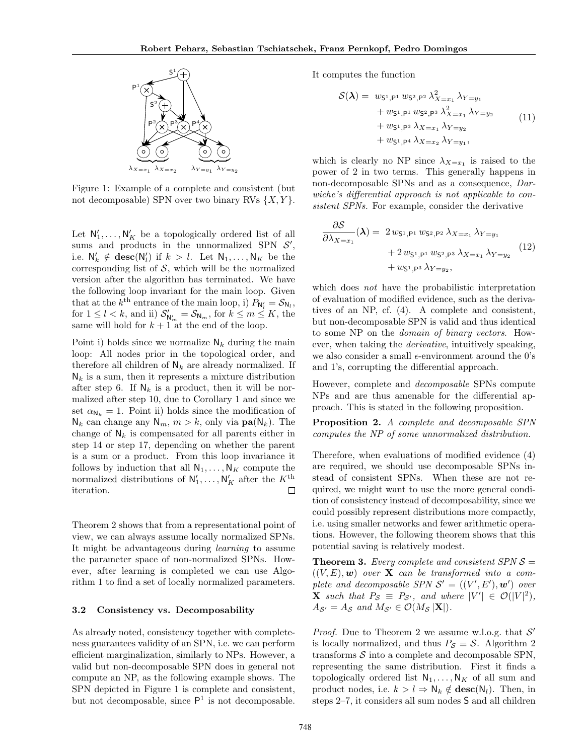

Figure 1: Example of a complete and consistent (but not decomposable) SPN over two binary RVs  $\{X, Y\}$ .

Let  $N'_1, \ldots, N'_K$  be a topologically ordered list of all sums and products in the unnormalized SPN  $S'$ , i.e.  $\mathsf{N}'_k \notin \mathbf{desc}(\mathsf{N}'_l)$  if  $k > l$ . Let  $\mathsf{N}_1, \ldots, \mathsf{N}_K$  be the corresponding list of  $S$ , which will be the normalized version after the algorithm has terminated. We have the following loop invariant for the main loop. Given that at the  $k^{\text{th}}$  entrance of the main loop, i)  $P_{N_l'} = S_{N_l}$ , for  $1 \leq l < k$ , and ii)  $S'_{N'_m} = S_{N_m}$ , for  $k \leq m \leq K$ , the same will hold for  $k + 1$ <sup>""</sup> at the end of the loop.

Point i) holds since we normalize  $\mathsf{N}_k$  during the main loop: All nodes prior in the topological order, and therefore all children of  $N_k$  are already normalized. If  $N_k$  is a sum, then it represents a mixture distribution after step 6. If  $N_k$  is a product, then it will be normalized after step 10, due to Corollary 1 and since we set  $\alpha_{N_k} = 1$ . Point ii) holds since the modification of  $\mathsf{N}_k$  can change any  $\mathsf{N}_m$ ,  $m > k$ , only via  $\mathbf{pa}(\mathsf{N}_k)$ . The change of  $N_k$  is compensated for all parents either in step 14 or step 17, depending on whether the parent is a sum or a product. From this loop invariance it follows by induction that all  $\mathsf{N}_1, \ldots, \mathsf{N}_K$  compute the normalized distributions of  $N'_1, \ldots, N'_K$  after the  $K^{\text{th}}$ iteration. □

Theorem 2 shows that from a representational point of view, we can always assume locally normalized SPNs. It might be advantageous during learning to assume the parameter space of non-normalized SPNs. However, after learning is completed we can use Algorithm 1 to find a set of locally normalized parameters.

#### 3.2 Consistency vs. Decomposability

As already noted, consistency together with completeness guarantees validity of an SPN, i.e. we can perform efficient marginalization, similarly to NPs. However, a valid but non-decomposable SPN does in general not compute an NP, as the following example shows. The SPN depicted in Figure 1 is complete and consistent, but not decomposable, since  $P<sup>1</sup>$  is not decomposable.

It computes the function

$$
S(\lambda) = w_{S^1, P^1} w_{S^2, P^2} \lambda_{X=x_1}^2 \lambda_{Y=y_1}
$$
  
+  $w_{S^1, P^1} w_{S^2, P^3} \lambda_{X=x_1}^2 \lambda_{Y=y_2}$   
+  $w_{S^1, P^3} \lambda_{X=x_1} \lambda_{Y=y_2}$   
+  $w_{S^1, P^4} \lambda_{X=x_2} \lambda_{Y=y_1}$ , (11)

which is clearly no NP since  $\lambda_{X=x_1}$  is raised to the power of 2 in two terms. This generally happens in non-decomposable SPNs and as a consequence, Darwiche's differential approach is not applicable to consistent SPNs. For example, consider the derivative

$$
\frac{\partial S}{\partial \lambda_{X=x_1}}(\lambda) = 2 w_{S^1,P^1} w_{S^2,P^2} \lambda_{X=x_1} \lambda_{Y=y_1}
$$
  
+ 2 w\_{S^1,P^1} w\_{S^2,P^3} \lambda\_{X=x\_1} \lambda\_{Y=y\_2}  
+ w\_{S^1,P^3} \lambda\_{Y=y\_2}, (12)

which does not have the probabilistic interpretation of evaluation of modified evidence, such as the derivatives of an NP, cf. (4). A complete and consistent, but non-decomposable SPN is valid and thus identical to some NP on the domain of binary vectors. However, when taking the derivative, intuitively speaking, we also consider a small  $\epsilon$ -environment around the 0's and 1's, corrupting the differential approach.

However, complete and decomposable SPNs compute NPs and are thus amenable for the differential approach. This is stated in the following proposition.

Proposition 2. A complete and decomposable SPN computes the NP of some unnormalized distribution.

Therefore, when evaluations of modified evidence (4) are required, we should use decomposable SPNs instead of consistent SPNs. When these are not required, we might want to use the more general condition of consistency instead of decomposability, since we could possibly represent distributions more compactly, i.e. using smaller networks and fewer arithmetic operations. However, the following theorem shows that this potential saving is relatively modest.

**Theorem 3.** Every complete and consistent SPN  $S =$  $((V, E), \mathbf{w})$  over **X** can be transformed into a complete and decomposable SPN  $S' = ((V', E'), \mathbf{w}')$  over **X** such that  $P_{\mathcal{S}} \equiv P_{\mathcal{S}'},$  and where  $|V'| \in \mathcal{O}(|V|^2),$  $A_{\mathcal{S}'} = A_{\mathcal{S}}$  and  $M_{\mathcal{S}'} \in \mathcal{O}(M_{\mathcal{S}} | \mathbf{X}|).$ 

*Proof.* Due to Theorem 2 we assume w.l.o.g. that  $\mathcal{S}'$ is locally normalized, and thus  $P_{\mathcal{S}} \equiv \mathcal{S}$ . Algorithm 2 transforms  $S$  into a complete and decomposable SPN, representing the same distribution. First it finds a topologically ordered list  $N_1, \ldots, N_K$  of all sum and product nodes, i.e.  $k > l \Rightarrow N_k \notin \mathbf{desc}(N_l)$ . Then, in steps 2–7, it considers all sum nodes S and all children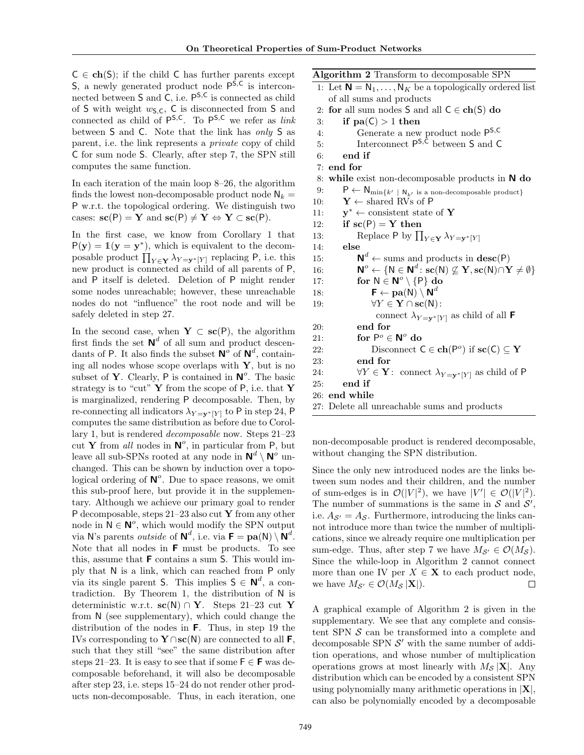$C \in ch(S)$ ; if the child C has further parents except  $S$ , a newly generated product node  $P^{S,C}$  is interconnected between  $S$  and  $C$ , i.e.  $P^{S,C}$  is connected as child of S with weight  $w_{\mathsf{S},\mathsf{C}}$ , C is disconnected from S and connected as child of  $P^{S,C}$ . To  $P^{S,C}$  we refer as *link* between S and C. Note that the link has only S as parent, i.e. the link represents a private copy of child C for sum node S. Clearly, after step 7, the SPN still computes the same function.

In each iteration of the main loop 8–26, the algorithm finds the lowest non-decomposable product node  $N_k =$ P w.r.t. the topological ordering. We distinguish two cases:  $\mathbf{sc}(P) = \mathbf{Y}$  and  $\mathbf{sc}(P) \neq \mathbf{Y} \Leftrightarrow \mathbf{Y} \subset \mathbf{sc}(P)$ .

In the first case, we know from Corollary 1 that  $P(y) = 1(y = y^*)$ , which is equivalent to the decomposable product  $\prod_{Y \in \mathbf{Y}} \lambda_{Y = \mathbf{y}^*[Y]}$  replacing P, i.e. this new product is connected as child of all parents of P, and P itself is deleted. Deletion of P might render some nodes unreachable; however, these unreachable nodes do not "influence" the root node and will be safely deleted in step 27.

In the second case, when  $Y \subset sc(P)$ , the algorithm first finds the set  $\mathbb{N}^d$  of all sum and product descendants of P. It also finds the subset  $N^{\sigma}$  of  $N^{d}$ , containing all nodes whose scope overlaps with  $\mathbf{Y}$ , but is no subset of Y. Clearly, P is contained in  $N^o$ . The basic strategy is to "cut"  $Y$  from the scope of  $P$ , i.e. that  $Y$ is marginalized, rendering P decomposable. Then, by re-connecting all indicators  $\lambda_{Y=v^*[Y]}$  to P in step 24, P computes the same distribution as before due to Corollary 1, but is rendered decomposable now. Steps 21–23 cut Y from all nodes in  $N^o$ , in particular from P, but leave all sub-SPNs rooted at any node in  $\mathbb{N}^d \setminus \mathbb{N}^o$  unchanged. This can be shown by induction over a topological ordering of  $\mathbb{N}^o$ . Due to space reasons, we omit this sub-proof here, but provide it in the supplementary. Although we achieve our primary goal to render P decomposable, steps  $21-23$  also cut Y from any other node in  $N \in \mathbb{N}^o$ , which would modify the SPN output via N's parents *outside* of  $\mathbf{N}^d$ , i.e. via  $\mathbf{F} = \mathbf{pa}(\mathbf{N}) \setminus \mathbf{N}^d$ . Note that all nodes in F must be products. To see this, assume that F contains a sum S. This would imply that N is a link, which can reached from P only via its single parent S. This implies  $S \in \mathbb{N}^d$ , a contradiction. By Theorem 1, the distribution of N is deterministic w.r.t.  $\mathbf{sc}(N) \cap Y$ . Steps 21–23 cut Y from N (see supplementary), which could change the distribution of the nodes in F. Thus, in step 19 the IVs corresponding to  $\mathbf{Y} \cap \mathbf{sc}(\mathsf{N})$  are connected to all **F**, such that they still "see" the same distribution after steps 21–23. It is easy to see that if some  $\mathsf{F} \in \mathsf{F}$  was decomposable beforehand, it will also be decomposable after step 23, i.e. steps 15–24 do not render other products non-decomposable. Thus, in each iteration, one

| Algorithm 2 Transform to decomposable SPN                                                                                                                                        |
|----------------------------------------------------------------------------------------------------------------------------------------------------------------------------------|
| 1: Let $N = N_1, , N_K$ be a topologically ordered list                                                                                                                          |
| of all sums and products                                                                                                                                                         |
| 2: for all sum nodes $S$ and all $C \in \mathbf{ch}(S)$ do                                                                                                                       |
| if $pa(C) > 1$ then<br>3:                                                                                                                                                        |
| Generate a new product node P <sup>S, C</sup><br>4:                                                                                                                              |
| Interconnect $P^{S,C}$ between S and C<br>5.                                                                                                                                     |
| end if<br>6:                                                                                                                                                                     |
| 7: end for                                                                                                                                                                       |
| while exist non-decomposable products in $N$ do<br>8:                                                                                                                            |
| $\mathsf{P}\leftarrow\mathsf{N}_{\min\{k'\text{ } \text{ } \mathsf{N}_{k'}\text{ is a non-decomposable product}\}}$<br>9:                                                        |
| $Y \leftarrow$ shared RVs of P<br>10:                                                                                                                                            |
| $y^* \leftarrow$ consistent state of Y<br>11:                                                                                                                                    |
| if $\operatorname{sc}(P) = Y$ then<br>12:                                                                                                                                        |
| Replace P by $\prod_{Y \in \mathbf{Y}} \lambda_{Y=\mathbf{y}^*[Y]}$<br>13:                                                                                                       |
| else<br>14:                                                                                                                                                                      |
| $\mathbf{N}^d \leftarrow$ sums and products in $\mathbf{desc}(P)$<br>15:                                                                                                         |
| $\mathsf{N}^o \leftarrow \{\mathsf{N} \in \mathsf{N}^d \colon \mathbf{sc}(\mathsf{N}) \not\subseteq \mathbf{Y}, \mathbf{sc}(\mathsf{N}) \cap \mathbf{Y} \neq \emptyset\}$<br>16: |
| for $N \in \mathbb{N}^o \setminus \{P\}$ do<br>17:                                                                                                                               |
| $\mathsf{F} \leftarrow \textbf{pa}(\mathsf{N}) \setminus \mathsf{N}^d$<br>18:                                                                                                    |
| $\forall Y \in \mathbf{Y} \cap \mathbf{sc}(\mathsf{N})$ :<br>19:                                                                                                                 |
| connect $\lambda_{Y=y^*[Y]}$ as child of all <b>F</b>                                                                                                                            |
| end for<br>20:                                                                                                                                                                   |
| for $P^o \in N^o$ do<br>21:                                                                                                                                                      |
| Disconnect $C \in \mathbf{ch}(P^o)$ if $\mathbf{sc}(C) \subseteq \mathbf{Y}$<br>22:                                                                                              |
| end for<br>23:                                                                                                                                                                   |
| $\forall Y \in \mathbf{Y}$ : connect $\lambda_{Y=\mathbf{y}^* Y }$ as child of P<br>24:                                                                                          |
| end if<br>25:                                                                                                                                                                    |
| 26: end while                                                                                                                                                                    |
| 27: Delete all unreachable sums and products                                                                                                                                     |

non-decomposable product is rendered decomposable, without changing the SPN distribution.

Since the only new introduced nodes are the links between sum nodes and their children, and the number of sum-edges is in  $\mathcal{O}(|V|^2)$ , we have  $|V'| \in \mathcal{O}(|V|^2)$ . The number of summations is the same in  $S$  and  $S'$ , i.e.  $A_{\mathcal{S}} = A_{\mathcal{S}}$ . Furthermore, introducing the links cannot introduce more than twice the number of multiplications, since we already require one multiplication per sum-edge. Thus, after step 7 we have  $M_{S'} \in \mathcal{O}(M_S)$ . Since the while-loop in Algorithm 2 cannot connect more than one IV per  $X \in \mathbf{X}$  to each product node, we have  $M_{\mathcal{S}'} \in \mathcal{O}(M_{\mathcal{S}} | \mathbf{X}|).$  $\Box$ 

A graphical example of Algorithm 2 is given in the supplementary. We see that any complete and consistent SPN  $S$  can be transformed into a complete and decomposable SPN  $\mathcal{S}'$  with the same number of addition operations, and whose number of multiplication operations grows at most linearly with  $M_S |\mathbf{X}|$ . Any distribution which can be encoded by a consistent SPN using polynomially many arithmetic operations in  $|X|$ , can also be polynomially encoded by a decomposable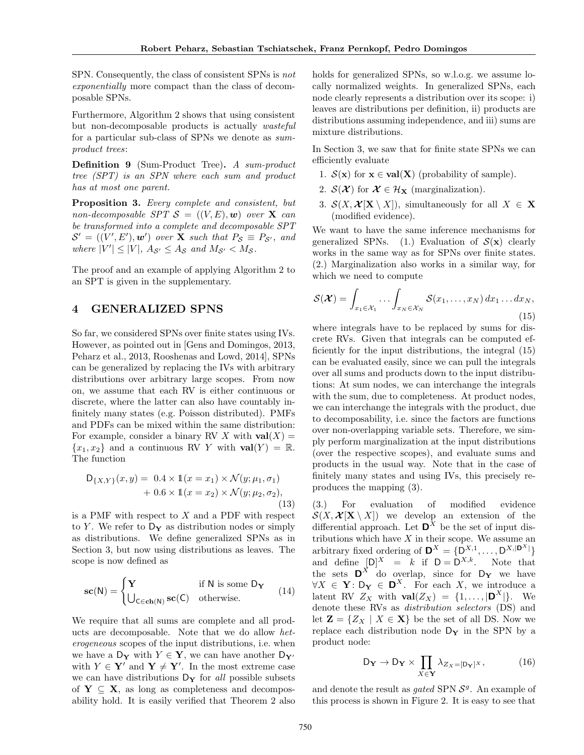SPN. Consequently, the class of consistent SPNs is not exponentially more compact than the class of decomposable SPNs.

Furthermore, Algorithm 2 shows that using consistent but non-decomposable products is actually wasteful for a particular sub-class of SPNs we denote as sumproduct trees:

Definition 9 (Sum-Product Tree). A sum-product tree (SPT) is an SPN where each sum and product has at most one parent.

Proposition 3. Every complete and consistent, but non-decomposable SPT  $S = ((V, E), w)$  over **X** can be transformed into a complete and decomposable SPT  $\mathcal{S}' = ((V', E'), \mathbf{w}')$  over **X** such that  $P_{\mathcal{S}} \equiv P_{\mathcal{S}'},$  and where  $|V'| \leq |V|$ ,  $A_{\mathcal{S}'} \leq A_{\mathcal{S}}$  and  $M_{\mathcal{S}'} < M_{\mathcal{S}}$ .

The proof and an example of applying Algorithm 2 to an SPT is given in the supplementary.

## 4 GENERALIZED SPNS

So far, we considered SPNs over finite states using IVs. However, as pointed out in [Gens and Domingos, 2013, Peharz et al., 2013, Rooshenas and Lowd, 2014], SPNs can be generalized by replacing the IVs with arbitrary distributions over arbitrary large scopes. From now on, we assume that each RV is either continuous or discrete, where the latter can also have countably infinitely many states (e.g. Poisson distributed). PMFs and PDFs can be mixed within the same distribution: For example, consider a binary RV X with  $val(X) =$  ${x_1, x_2}$  and a continuous RV Y with  $val(Y) = \mathbb{R}$ . The function

$$
D_{\{X,Y\}}(x,y) = 0.4 \times 1(x = x_1) \times \mathcal{N}(y; \mu_1, \sigma_1) + 0.6 \times 1(x = x_2) \times \mathcal{N}(y; \mu_2, \sigma_2),
$$
\n(13)

is a PMF with respect to  $X$  and a PDF with respect to Y. We refer to  $D_Y$  as distribution nodes or simply as distributions. We define generalized SPNs as in Section 3, but now using distributions as leaves. The scope is now defined as

$$
sc(N) = \begin{cases} Y & \text{if } N \text{ is some } D_Y \\ U_{C \in ch(N)} sc(C) & \text{otherwise.} \end{cases}
$$
 (14)

We require that all sums are complete and all products are decomposable. Note that we do allow heterogeneous scopes of the input distributions, i.e. when we have a  $D_Y$  with  $Y \in Y$ , we can have another  $D_{Y'}$ with  $Y \in \mathbf{Y}'$  and  $\mathbf{Y} \neq \mathbf{Y}'$ . In the most extreme case we can have distributions  $D_Y$  for all possible subsets of  $Y \subseteq X$ , as long as completeness and decomposability hold. It is easily verified that Theorem 2 also

holds for generalized SPNs, so w.l.o.g. we assume locally normalized weights. In generalized SPNs, each node clearly represents a distribution over its scope: i) leaves are distributions per definition, ii) products are distributions assuming independence, and iii) sums are mixture distributions.

In Section 3, we saw that for finite state SPNs we can efficiently evaluate

- 1.  $S(\mathbf{x})$  for  $\mathbf{x} \in \text{val}(\mathbf{X})$  (probability of sample).
- 2.  $S(\mathcal{X})$  for  $\mathcal{X} \in \mathcal{H}_{\mathbf{X}}$  (marginalization).
- 3.  $\mathcal{S}(X, \mathcal{X} | \mathbf{X} \setminus X)$ , simultaneously for all  $X \in \mathbf{X}$ (modified evidence).

We want to have the same inference mechanisms for generalized SPNs. (1.) Evaluation of  $S(\mathbf{x})$  clearly works in the same way as for SPNs over finite states. (2.) Marginalization also works in a similar way, for which we need to compute

$$
\mathcal{S}(\boldsymbol{\mathcal{X}}) = \int_{x_1 \in \mathcal{X}_1} \dots \int_{x_N \in \mathcal{X}_N} \mathcal{S}(x_1, \dots, x_N) \, dx_1 \dots dx_N,
$$
\n(15)

where integrals have to be replaced by sums for discrete RVs. Given that integrals can be computed efficiently for the input distributions, the integral (15) can be evaluated easily, since we can pull the integrals over all sums and products down to the input distributions: At sum nodes, we can interchange the integrals with the sum, due to completeness. At product nodes, we can interchange the integrals with the product, due to decomposability, i.e. since the factors are functions over non-overlapping variable sets. Therefore, we simply perform marginalization at the input distributions (over the respective scopes), and evaluate sums and products in the usual way. Note that in the case of finitely many states and using IVs, this precisely reproduces the mapping (3).

(3.) For evaluation of modified evidence  $\mathcal{S}(X, \mathcal{X} | \mathbf{X} \setminus X)$  we develop an extension of the differential approach. Let  $\mathbf{D}^X$  be the set of input distributions which have  $X$  in their scope. We assume an arbitrary fixed ordering of  $\mathbf{D}^X = \{D^{X,1}, \ldots, D^{X,|\mathbf{D}^X|}\}\$ and define  $[D]^{X} = k$  if  $D = D^{X,k}$ . Note that the sets  $\mathbf{D}^X$  do overlap, since for  $D_Y$  we have  $\forall X \in \mathbf{Y} : \mathsf{D}_{\mathbf{Y}} \in \mathbf{D}^X$ . For each X, we introduce a latent RV  $Z_X$  with  $\text{val}(Z_X) = \{1, \ldots, |\mathbf{D}^X|\}.$  We denote these RVs as distribution selectors (DS) and let  $\mathbf{Z} = \{Z_X \mid X \in \mathbf{X}\}\$ be the set of all DS. Now we replace each distribution node  $D_Y$  in the SPN by a product node:

$$
D_{\mathbf{Y}} \to D_{\mathbf{Y}} \times \prod_{X \in \mathbf{Y}} \lambda_{Z_X = [D_{\mathbf{Y}}]^X},
$$
 (16)

and denote the result as *gated* SPN  $S<sup>g</sup>$ . An example of this process is shown in Figure 2. It is easy to see that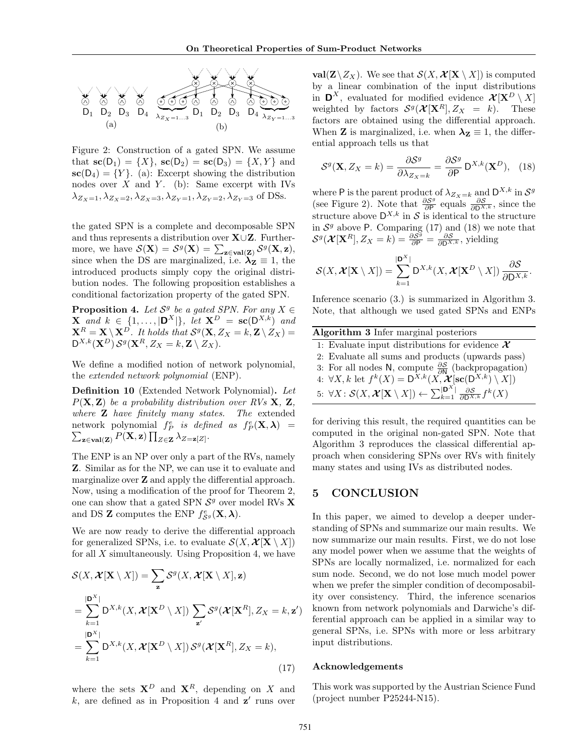

Figure 2: Construction of a gated SPN. We assume that  $\mathbf{sc}(D_1) = \{X\}$ ,  $\mathbf{sc}(D_2) = \mathbf{sc}(D_3) = \{X, Y\}$  and  $\mathbf{sc}(D_4) = \{Y\}.$  (a): Excerpt showing the distribution nodes over  $X$  and  $Y$ . (b): Same excerpt with IVs  $\lambda_{Z_X=1}, \lambda_{Z_X=2}, \lambda_{Z_X=3}, \lambda_{Z_Y=1}, \lambda_{Z_Y=2}, \lambda_{Z_Y=3}$  of DSs.

the gated SPN is a complete and decomposable SPN and thus represents a distribution over X∪Z. Furthermore, we have  $\mathcal{S}(\mathbf{X}) = \mathcal{S}^g(\mathbf{X}) = \sum_{\mathbf{z} \in \text{val}(\mathbf{Z})} \mathcal{S}^g(\mathbf{X}, \mathbf{z}),$ since when the DS are marginalized, i.e.  $\lambda_{\mathbf{Z}} \equiv 1$ , the introduced products simply copy the original distribution nodes. The following proposition establishes a conditional factorization property of the gated SPN.

**Proposition 4.** Let  $S^g$  be a gated SPN. For any  $X \in$ **X** and  $k \in \{1, ..., |\mathbf{D}^X|\}$ , let  $\mathbf{X}^D = \mathbf{sc}(\mathbf{D}^{X,k})$  and  $\mathbf{X}^R = \mathbf{X} \setminus \mathbf{X}^D$ . It holds that  $\mathcal{S}^g(\mathbf{X},Z_X=k,\mathbf{Z} \setminus Z_X)=$  $\mathsf{D}^{X,k}(\mathbf{X}^D) \, \mathcal{S}^g(\mathbf{X}^R, Z_X=k, \mathbf{Z} \setminus Z_X).$ 

We define a modified notion of network polynomial, the extended network polynomial (ENP).

Definition 10 (Extended Network Polynomial). Let  $P(X, Z)$  be a probability distribution over RVs X, Z, where **Z** have finitely many states. The extended network polynomial  $f_P^e$  is defined as  $f_P^e(\mathbf{X}, \boldsymbol{\lambda}) =$  $\sum_{\mathbf{z}\in\mathbf{val}(\mathbf{Z})}P(\mathbf{X},\mathbf{z})\prod_{Z\in\mathbf{Z}}\lambda_{Z=\mathbf{z}[Z]}.$ 

The ENP is an NP over only a part of the RVs, namely Z. Similar as for the NP, we can use it to evaluate and marginalize over Z and apply the differential approach. Now, using a modification of the proof for Theorem 2, one can show that a gated SPN  $S<sup>g</sup>$  over model RVs **X** and DS **Z** computes the ENP  $f_{\mathcal{S}^g}^e(\mathbf{X}, \boldsymbol{\lambda})$ .

We are now ready to derive the differential approach for generalized SPNs, i.e. to evaluate  $\mathcal{S}(X, \mathcal{X} | \mathbf{X} \setminus X)$ for all  $X$  simultaneously. Using Proposition 4, we have

$$
S(X, \mathcal{X}[\mathbf{X} \setminus X]) = \sum_{\mathbf{z}} S^{g}(X, \mathcal{X}[\mathbf{X} \setminus X], \mathbf{z})
$$
  
\n
$$
= \sum_{k=1}^{|\mathbf{D}^{X}|} \mathbf{D}^{X,k}(X, \mathcal{X}[\mathbf{X}^{D} \setminus X]) \sum_{\mathbf{z}'} S^{g}(\mathcal{X}[\mathbf{X}^{R}], Z_{X} = k, \mathbf{z}')
$$
  
\n
$$
= \sum_{k=1}^{|\mathbf{D}^{X}|} \mathbf{D}^{X,k}(X, \mathcal{X}[\mathbf{X}^{D} \setminus X]) S^{g}(\mathcal{X}[\mathbf{X}^{R}], Z_{X} = k),
$$
\n(17)

where the sets  $X^D$  and  $X^R$ , depending on X and  $k$ , are defined as in Proposition 4 and  $z'$  runs over

 $val(\mathbf{Z}\setminus Z_X)$ . We see that  $\mathcal{S}(X, \mathcal{X}|\mathbf{X}\setminus X)$  is computed by a linear combination of the input distributions in  $\mathbf{D}^X$ , evaluated for modified evidence  $\mathcal{X}[\mathbf{X}^D \setminus X]$ weighted by factors  $\mathcal{S}^g(\mathcal{X}[\mathbf{X}^R], Z_X = k)$ . These factors are obtained using the differential approach. When **Z** is marginalized, i.e. when  $\lambda_{\mathbf{Z}} \equiv 1$ , the differential approach tells us that

$$
S^{g}(\mathbf{X}, Z_{X} = k) = \frac{\partial S^{g}}{\partial \lambda_{Z_{X} = k}} = \frac{\partial S^{g}}{\partial P} D^{X,k}(\mathbf{X}^{D}), \quad (18)
$$

where P is the parent product of  $\lambda_{Z_X=k}$  and  $\mathsf{D}^{X,k}$  in  $\mathcal{S}^g$ (see Figure 2). Note that  $\frac{\partial S^g}{\partial P}$  $\frac{\partial S^g}{\partial P}$  equals  $\frac{\partial S}{\partial D^{X,k}}$ , since the structure above  $D^{X,k}$  in S is identical to the structure in  $S<sup>g</sup>$  above P. Comparing (17) and (18) we note that  $\mathcal{S}^g(\mathcal{X}[\mathbf{X}^R], Z_X = k) = \frac{\partial \mathcal{S}^g}{\partial \mathsf{P}} = \frac{\partial \mathcal{S}}{\partial \mathsf{D}^{X,k}}$ , yielding

$$
\mathcal{S}(X,\boldsymbol{\mathcal{X}}[X\setminus X])=\sum_{k=1}^{|\mathbf{D}^X|}D^{X,k}(X,\boldsymbol{\mathcal{X}}[X^D\setminus X])\,\frac{\partial \mathcal{S}}{\partial D^{X,k}}.
$$

Inference scenario (3.) is summarized in Algorithm 3. Note, that although we used gated SPNs and ENPs

| Algorithm 3 Infer marginal posteriors                                                                                                                                     |  |  |  |
|---------------------------------------------------------------------------------------------------------------------------------------------------------------------------|--|--|--|
| 1: Evaluate input distributions for evidence $\mathcal{X}$                                                                                                                |  |  |  |
| 2: Evaluate all sums and products (upwards pass)                                                                                                                          |  |  |  |
|                                                                                                                                                                           |  |  |  |
| 3: For all nodes N, compute $\frac{\partial S}{\partial N}$ (backpropagation)<br>4: $\forall X, k$ let $f^k(X) = D^{X,k}(X, \mathcal{X}[\text{sc}(D^{X,k}) \setminus X])$ |  |  |  |
| 5: $\forall X: \mathcal{S}(X, \mathcal{X}[X \setminus X]) \leftarrow \sum_{k=1}^{\mathbf{ D^X }} \frac{\partial \mathcal{S}}{\partial \mathbf{D}^{X,k}} f^k(X)$           |  |  |  |

for deriving this result, the required quantities can be computed in the original non-gated SPN. Note that Algorithm 3 reproduces the classical differential approach when considering SPNs over RVs with finitely many states and using IVs as distributed nodes.

# 5 CONCLUSION

In this paper, we aimed to develop a deeper understanding of SPNs and summarize our main results. We now summarize our main results. First, we do not lose any model power when we assume that the weights of SPNs are locally normalized, i.e. normalized for each sum node. Second, we do not lose much model power when we prefer the simpler condition of decomposability over consistency. Third, the inference scenarios known from network polynomials and Darwiche's differential approach can be applied in a similar way to general SPNs, i.e. SPNs with more or less arbitrary input distributions.

#### ${\bf Acknowledgements}$

This work was supported by the Austrian Science Fund (project number P25244-N15).